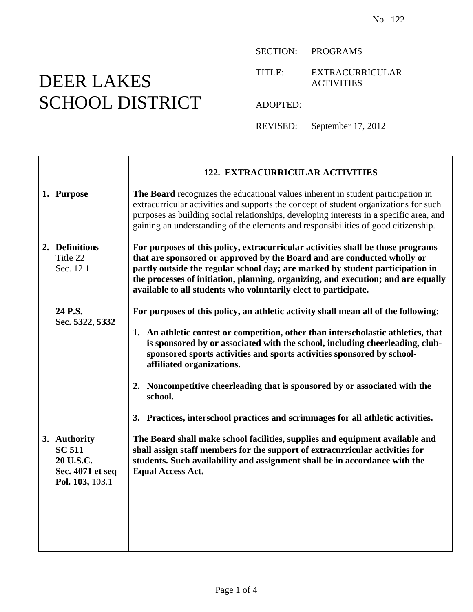## DEER LAKES SCHOOL DISTRICT

SECTION: PROGRAMS

TITLE: EXTRACURRICULAR ACTIVITIES

ADOPTED:

REVISED: September 17, 2012

|                                                                                   | <b>122. EXTRACURRICULAR ACTIVITIES</b>                                                                                                                                                                                                                                                                                                                                                                                                                                                                                                     |
|-----------------------------------------------------------------------------------|--------------------------------------------------------------------------------------------------------------------------------------------------------------------------------------------------------------------------------------------------------------------------------------------------------------------------------------------------------------------------------------------------------------------------------------------------------------------------------------------------------------------------------------------|
| 1. Purpose                                                                        | The Board recognizes the educational values inherent in student participation in<br>extracurricular activities and supports the concept of student organizations for such<br>purposes as building social relationships, developing interests in a specific area, and<br>gaining an understanding of the elements and responsibilities of good citizenship.                                                                                                                                                                                 |
| 2. Definitions<br>Title 22<br>Sec. 12.1                                           | For purposes of this policy, extracurricular activities shall be those programs<br>that are sponsored or approved by the Board and are conducted wholly or<br>partly outside the regular school day; are marked by student participation in<br>the processes of initiation, planning, organizing, and execution; and are equally<br>available to all students who voluntarily elect to participate.                                                                                                                                        |
| 24 P.S.<br>Sec. 5322, 5332                                                        | For purposes of this policy, an athletic activity shall mean all of the following:<br>1. An athletic contest or competition, other than interscholastic athletics, that<br>is sponsored by or associated with the school, including cheerleading, club-<br>sponsored sports activities and sports activities sponsored by school-<br>affiliated organizations.<br>2. Noncompetitive cheerleading that is sponsored by or associated with the<br>school.<br>3. Practices, interschool practices and scrimmages for all athletic activities. |
| 3. Authority<br><b>SC 511</b><br>20 U.S.C.<br>Sec. 4071 et seq<br>Pol. 103, 103.1 | The Board shall make school facilities, supplies and equipment available and<br>shall assign staff members for the support of extracurricular activities for<br>students. Such availability and assignment shall be in accordance with the<br><b>Equal Access Act.</b>                                                                                                                                                                                                                                                                     |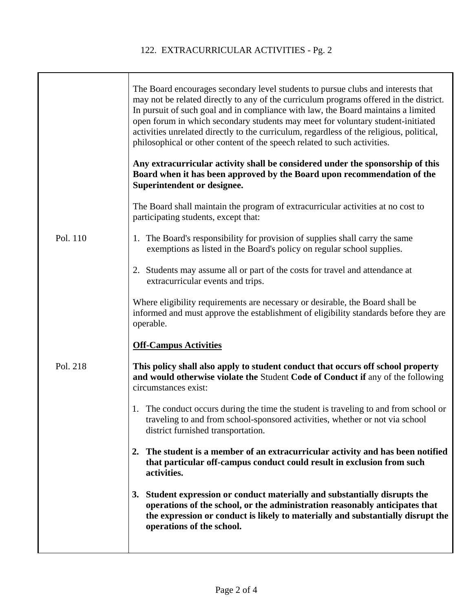T

|          | The Board encourages secondary level students to pursue clubs and interests that<br>may not be related directly to any of the curriculum programs offered in the district.<br>In pursuit of such goal and in compliance with law, the Board maintains a limited<br>open forum in which secondary students may meet for voluntary student-initiated<br>activities unrelated directly to the curriculum, regardless of the religious, political,<br>philosophical or other content of the speech related to such activities. |
|----------|----------------------------------------------------------------------------------------------------------------------------------------------------------------------------------------------------------------------------------------------------------------------------------------------------------------------------------------------------------------------------------------------------------------------------------------------------------------------------------------------------------------------------|
|          | Any extracurricular activity shall be considered under the sponsorship of this<br>Board when it has been approved by the Board upon recommendation of the<br>Superintendent or designee.                                                                                                                                                                                                                                                                                                                                   |
|          | The Board shall maintain the program of extracurricular activities at no cost to<br>participating students, except that:                                                                                                                                                                                                                                                                                                                                                                                                   |
| Pol. 110 | 1. The Board's responsibility for provision of supplies shall carry the same<br>exemptions as listed in the Board's policy on regular school supplies.                                                                                                                                                                                                                                                                                                                                                                     |
|          | 2. Students may assume all or part of the costs for travel and attendance at<br>extracurricular events and trips.                                                                                                                                                                                                                                                                                                                                                                                                          |
|          | Where eligibility requirements are necessary or desirable, the Board shall be<br>informed and must approve the establishment of eligibility standards before they are<br>operable.                                                                                                                                                                                                                                                                                                                                         |
|          | <b>Off-Campus Activities</b>                                                                                                                                                                                                                                                                                                                                                                                                                                                                                               |
| Pol. 218 | This policy shall also apply to student conduct that occurs off school property<br>and would otherwise violate the Student Code of Conduct if any of the following<br>circumstances exist:                                                                                                                                                                                                                                                                                                                                 |
|          | The conduct occurs during the time the student is traveling to and from school or<br>1.<br>traveling to and from school-sponsored activities, whether or not via school<br>district furnished transportation.                                                                                                                                                                                                                                                                                                              |
|          | The student is a member of an extracurricular activity and has been notified<br>2.<br>that particular off-campus conduct could result in exclusion from such<br>activities.                                                                                                                                                                                                                                                                                                                                                |
|          | Student expression or conduct materially and substantially disrupts the<br><b>3.</b><br>operations of the school, or the administration reasonably anticipates that<br>the expression or conduct is likely to materially and substantially disrupt the<br>operations of the school.                                                                                                                                                                                                                                        |
|          |                                                                                                                                                                                                                                                                                                                                                                                                                                                                                                                            |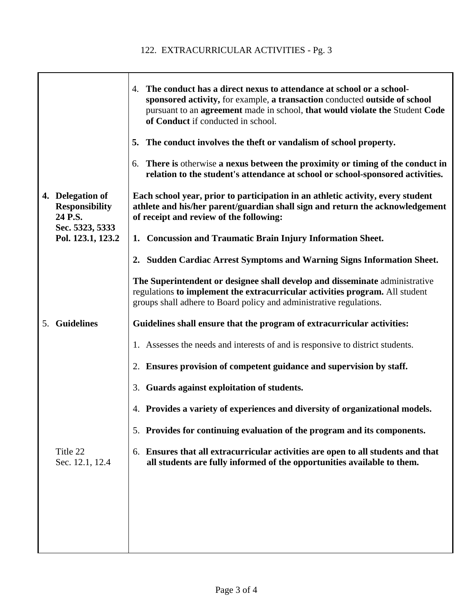|                                                      | 4. The conduct has a direct nexus to attendance at school or a school-<br>sponsored activity, for example, a transaction conducted outside of school<br>pursuant to an agreement made in school, that would violate the Student Code<br>of Conduct if conducted in school. |
|------------------------------------------------------|----------------------------------------------------------------------------------------------------------------------------------------------------------------------------------------------------------------------------------------------------------------------------|
|                                                      | 5. The conduct involves the theft or vandalism of school property.                                                                                                                                                                                                         |
|                                                      | There is otherwise a nexus between the proximity or timing of the conduct in<br>6.<br>relation to the student's attendance at school or school-sponsored activities.                                                                                                       |
| 4. Delegation of<br><b>Responsibility</b><br>24 P.S. | Each school year, prior to participation in an athletic activity, every student<br>athlete and his/her parent/guardian shall sign and return the acknowledgement<br>of receipt and review of the following:                                                                |
| Sec. 5323, 5333<br>Pol. 123.1, 123.2                 | 1. Concussion and Traumatic Brain Injury Information Sheet.                                                                                                                                                                                                                |
|                                                      | 2. Sudden Cardiac Arrest Symptoms and Warning Signs Information Sheet.                                                                                                                                                                                                     |
|                                                      | The Superintendent or designee shall develop and disseminate administrative<br>regulations to implement the extracurricular activities program. All student<br>groups shall adhere to Board policy and administrative regulations.                                         |
| 5. Guidelines                                        | Guidelines shall ensure that the program of extracurricular activities:                                                                                                                                                                                                    |
|                                                      | 1. Assesses the needs and interests of and is responsive to district students.                                                                                                                                                                                             |
|                                                      | 2. Ensures provision of competent guidance and supervision by staff.                                                                                                                                                                                                       |
|                                                      | 3. Guards against exploitation of students.                                                                                                                                                                                                                                |
|                                                      | 4. Provides a variety of experiences and diversity of organizational models.                                                                                                                                                                                               |
|                                                      | 5. Provides for continuing evaluation of the program and its components.                                                                                                                                                                                                   |
| Title 22<br>Sec. 12.1, 12.4                          | Ensures that all extracurricular activities are open to all students and that<br>6.<br>all students are fully informed of the opportunities available to them.                                                                                                             |
|                                                      |                                                                                                                                                                                                                                                                            |
|                                                      |                                                                                                                                                                                                                                                                            |
|                                                      |                                                                                                                                                                                                                                                                            |
|                                                      |                                                                                                                                                                                                                                                                            |